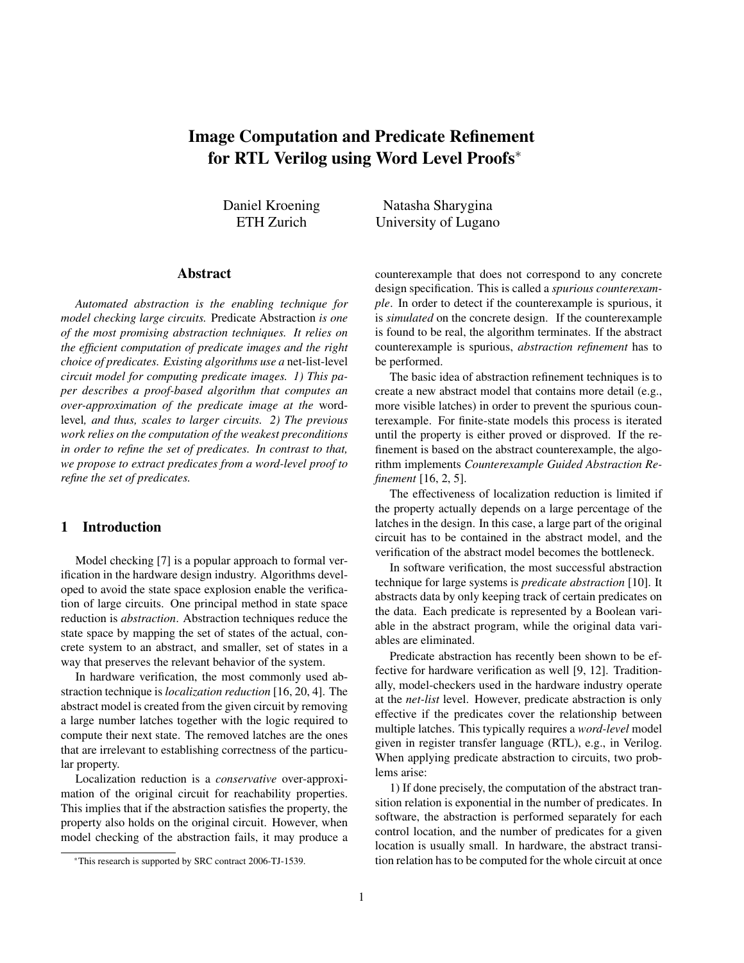# Image Computation and Predicate Refinement for RTL Verilog using Word Level Proofs<sup>∗</sup>

Daniel Kroening ETH Zurich

Natasha Sharygina University of Lugano

# Abstract

*Automated abstraction is the enabling technique for model checking large circuits.* Predicate Abstraction *is one of the most promising abstraction techniques. It relies on the efficient computation of predicate images and the right choice of predicates. Existing algorithms use a* net-list-level *circuit model for computing predicate images. 1) This paper describes a proof-based algorithm that computes an over-approximation of the predicate image at the* wordlevel*, and thus, scales to larger circuits. 2) The previous work relies on the computation of the weakest preconditions in order to refine the set of predicates. In contrast to that, we propose to extract predicates from a word-level proof to refine the set of predicates.*

### 1 Introduction

Model checking [7] is a popular approach to formal verification in the hardware design industry. Algorithms developed to avoid the state space explosion enable the verification of large circuits. One principal method in state space reduction is *abstraction*. Abstraction techniques reduce the state space by mapping the set of states of the actual, concrete system to an abstract, and smaller, set of states in a way that preserves the relevant behavior of the system.

In hardware verification, the most commonly used abstraction technique is *localization reduction* [16, 20, 4]. The abstract model is created from the given circuit by removing a large number latches together with the logic required to compute their next state. The removed latches are the ones that are irrelevant to establishing correctness of the particular property.

Localization reduction is a *conservative* over-approximation of the original circuit for reachability properties. This implies that if the abstraction satisfies the property, the property also holds on the original circuit. However, when model checking of the abstraction fails, it may produce a counterexample that does not correspond to any concrete design specification. This is called a *spurious counterexample*. In order to detect if the counterexample is spurious, it is *simulated* on the concrete design. If the counterexample is found to be real, the algorithm terminates. If the abstract counterexample is spurious, *abstraction refinement* has to be performed.

The basic idea of abstraction refinement techniques is to create a new abstract model that contains more detail (e.g., more visible latches) in order to prevent the spurious counterexample. For finite-state models this process is iterated until the property is either proved or disproved. If the refinement is based on the abstract counterexample, the algorithm implements *Counterexample Guided Abstraction Refinement* [16, 2, 5].

The effectiveness of localization reduction is limited if the property actually depends on a large percentage of the latches in the design. In this case, a large part of the original circuit has to be contained in the abstract model, and the verification of the abstract model becomes the bottleneck.

In software verification, the most successful abstraction technique for large systems is *predicate abstraction* [10]. It abstracts data by only keeping track of certain predicates on the data. Each predicate is represented by a Boolean variable in the abstract program, while the original data variables are eliminated.

Predicate abstraction has recently been shown to be effective for hardware verification as well [9, 12]. Traditionally, model-checkers used in the hardware industry operate at the *net-list* level. However, predicate abstraction is only effective if the predicates cover the relationship between multiple latches. This typically requires a *word-level* model given in register transfer language (RTL), e.g., in Verilog. When applying predicate abstraction to circuits, two problems arise:

1) If done precisely, the computation of the abstract transition relation is exponential in the number of predicates. In software, the abstraction is performed separately for each control location, and the number of predicates for a given location is usually small. In hardware, the abstract transition relation has to be computed for the whole circuit at once

<sup>∗</sup>This research is supported by SRC contract 2006-TJ-1539.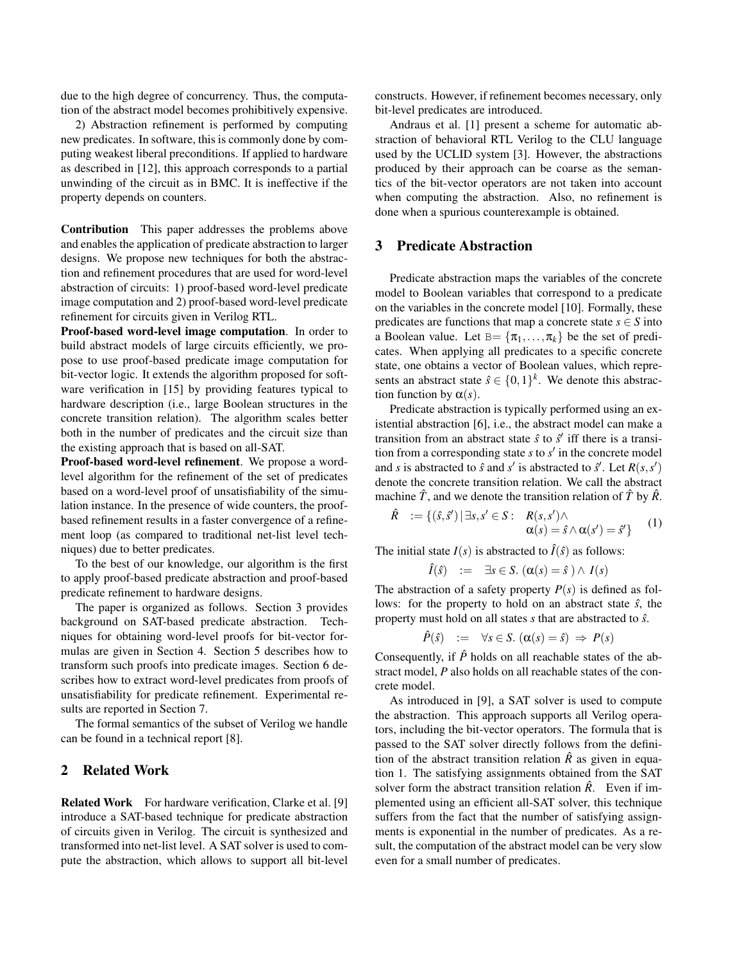due to the high degree of concurrency. Thus, the computation of the abstract model becomes prohibitively expensive.

2) Abstraction refinement is performed by computing new predicates. In software, this is commonly done by computing weakest liberal preconditions. If applied to hardware as described in [12], this approach corresponds to a partial unwinding of the circuit as in BMC. It is ineffective if the property depends on counters.

Contribution This paper addresses the problems above and enables the application of predicate abstraction to larger designs. We propose new techniques for both the abstraction and refinement procedures that are used for word-level abstraction of circuits: 1) proof-based word-level predicate image computation and 2) proof-based word-level predicate refinement for circuits given in Verilog RTL.

Proof-based word-level image computation. In order to build abstract models of large circuits efficiently, we propose to use proof-based predicate image computation for bit-vector logic. It extends the algorithm proposed for software verification in [15] by providing features typical to hardware description (i.e., large Boolean structures in the concrete transition relation). The algorithm scales better both in the number of predicates and the circuit size than the existing approach that is based on all-SAT.

Proof-based word-level refinement. We propose a wordlevel algorithm for the refinement of the set of predicates based on a word-level proof of unsatisfiability of the simulation instance. In the presence of wide counters, the proofbased refinement results in a faster convergence of a refinement loop (as compared to traditional net-list level techniques) due to better predicates.

To the best of our knowledge, our algorithm is the first to apply proof-based predicate abstraction and proof-based predicate refinement to hardware designs.

The paper is organized as follows. Section 3 provides background on SAT-based predicate abstraction. Techniques for obtaining word-level proofs for bit-vector formulas are given in Section 4. Section 5 describes how to transform such proofs into predicate images. Section 6 describes how to extract word-level predicates from proofs of unsatisfiability for predicate refinement. Experimental results are reported in Section 7.

The formal semantics of the subset of Verilog we handle can be found in a technical report [8].

# 2 Related Work

Related Work For hardware verification, Clarke et al. [9] introduce a SAT-based technique for predicate abstraction of circuits given in Verilog. The circuit is synthesized and transformed into net-list level. A SAT solver is used to compute the abstraction, which allows to support all bit-level constructs. However, if refinement becomes necessary, only bit-level predicates are introduced.

Andraus et al. [1] present a scheme for automatic abstraction of behavioral RTL Verilog to the CLU language used by the UCLID system [3]. However, the abstractions produced by their approach can be coarse as the semantics of the bit-vector operators are not taken into account when computing the abstraction. Also, no refinement is done when a spurious counterexample is obtained.

#### 3 Predicate Abstraction

Predicate abstraction maps the variables of the concrete model to Boolean variables that correspond to a predicate on the variables in the concrete model [10]. Formally, these predicates are functions that map a concrete state  $s \in S$  into a Boolean value. Let  $B = {\pi_1, ..., \pi_k}$  be the set of predicates. When applying all predicates to a specific concrete state, one obtains a vector of Boolean values, which represents an abstract state  $\hat{s} \in \{0,1\}^k$ . We denote this abstraction function by  $\alpha(s)$ .

Predicate abstraction is typically performed using an existential abstraction [6], i.e., the abstract model can make a transition from an abstract state  $\hat{s}$  to  $\hat{s}'$  iff there is a transition from a corresponding state  $s$  to  $s'$  in the concrete model and *s* is abstracted to  $\hat{s}$  and  $s'$  is abstracted to  $\hat{s}'$ . Let  $R(s, s')$ denote the concrete transition relation. We call the abstract machine  $\hat{T}$ , and we denote the transition relation of  $\hat{T}$  by  $\hat{R}$ .

$$
\hat{R} := \{(\hat{s}, \hat{s}') \mid \exists s, s' \in S: R(s, s') \land \alpha(s) = \hat{s} \land \alpha(s') = \hat{s}'\}
$$
 (1)

The initial state  $I(s)$  is abstracted to  $\hat{I}(\hat{s})$  as follows:

$$
\hat{I}(\hat{s}) \quad := \quad \exists s \in S. \; (\alpha(s) = \hat{s}) \wedge I(s)
$$

The abstraction of a safety property *P*(*s*) is defined as follows: for the property to hold on an abstract state  $\hat{s}$ , the property must hold on all states *s* that are abstracted to ˆ*s*.

$$
\hat{P}(\hat{s}) \quad := \quad \forall s \in S. \; (\alpha(s) = \hat{s}) \; \Rightarrow \; P(s)
$$

Consequently, if  $\hat{P}$  holds on all reachable states of the abstract model, *P* also holds on all reachable states of the concrete model.

As introduced in [9], a SAT solver is used to compute the abstraction. This approach supports all Verilog operators, including the bit-vector operators. The formula that is passed to the SAT solver directly follows from the definition of the abstract transition relation  $\hat{R}$  as given in equation 1. The satisfying assignments obtained from the SAT solver form the abstract transition relation  $\hat{R}$ . Even if implemented using an efficient all-SAT solver, this technique suffers from the fact that the number of satisfying assignments is exponential in the number of predicates. As a result, the computation of the abstract model can be very slow even for a small number of predicates.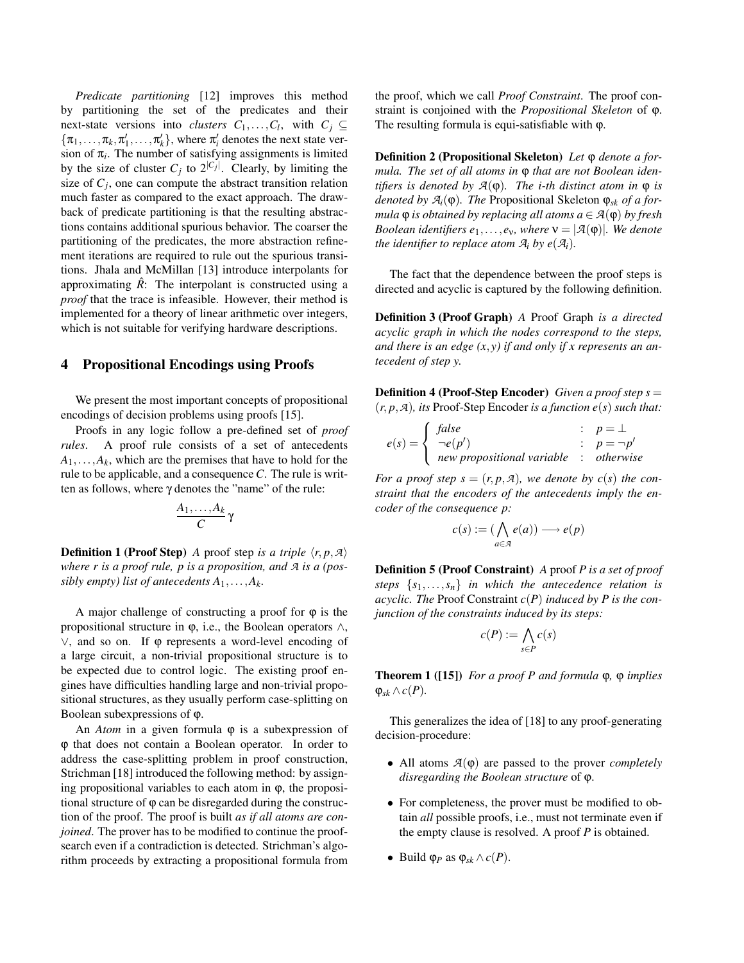*Predicate partitioning* [12] improves this method by partitioning the set of the predicates and their next-state versions into *clusters*  $C_1, \ldots, C_l$ , with  $C_j \subseteq$  $\{\pi_1, \ldots, \pi_k, \pi'_1, \ldots, \pi'_k\}$ , where  $\pi'_i$  denotes the next state version of  $\pi$ <sub>i</sub>. The number of satisfying assignments is limited by the size of cluster  $C_j$  to  $2^{|C_j|}$ . Clearly, by limiting the size of  $C_j$ , one can compute the abstract transition relation much faster as compared to the exact approach. The drawback of predicate partitioning is that the resulting abstractions contains additional spurious behavior. The coarser the partitioning of the predicates, the more abstraction refinement iterations are required to rule out the spurious transitions. Jhala and McMillan [13] introduce interpolants for approximating  $\hat{R}$ : The interpolant is constructed using a *proof* that the trace is infeasible. However, their method is implemented for a theory of linear arithmetic over integers, which is not suitable for verifying hardware descriptions.

#### 4 Propositional Encodings using Proofs

We present the most important concepts of propositional encodings of decision problems using proofs [15].

Proofs in any logic follow a pre-defined set of *proof rules*. A proof rule consists of a set of antecedents  $A_1$ ,..., $A_k$ , which are the premises that have to hold for the rule to be applicable, and a consequence*C*. The rule is written as follows, where γ denotes the "name" of the rule:

$$
\frac{A_1,\ldots,A_k}{C}\gamma
$$

**Definition 1 (Proof Step)** A proof step *is a triple*  $\langle r, p, \mathcal{A} \rangle$ *where r is a proof rule, p is a proposition, and A is a (possibly empty) list of antecedents*  $A_1, \ldots, A_k$ *.* 

A major challenge of constructing a proof for  $\varphi$  is the propositional structure in  $φ$ , i.e., the Boolean operators  $∧$ , ∨, and so on. If ϕ represents a word-level encoding of a large circuit, a non-trivial propositional structure is to be expected due to control logic. The existing proof engines have difficulties handling large and non-trivial propositional structures, as they usually perform case-splitting on Boolean subexpressions of ϕ.

An *Atom* in a given formula ϕ is a subexpression of ϕ that does not contain a Boolean operator. In order to address the case-splitting problem in proof construction, Strichman [18] introduced the following method: by assigning propositional variables to each atom in  $\varphi$ , the propositional structure of  $\varphi$  can be disregarded during the construction of the proof. The proof is built *as if all atoms are conjoined*. The prover has to be modified to continue the proofsearch even if a contradiction is detected. Strichman's algorithm proceeds by extracting a propositional formula from

the proof, which we call *Proof Constraint*. The proof constraint is conjoined with the *Propositional Skeleton* of ϕ. The resulting formula is equi-satisfiable with ϕ.

Definition 2 (Propositional Skeleton) *Let* ϕ *denote a formula. The set of all atoms in*  $φ$  *that are not Boolean identifiers is denoted by*  $A(\varphi)$ *. The i-th distinct atom in*  $\varphi$  *is denoted by*  $A_i(\varphi)$ *. The Propositional Skeleton*  $\varphi_{sk}$  *of a formula*  $\varphi$  *is obtained by replacing all atoms*  $a \in \mathcal{A}(\varphi)$  *by fresh Boolean identifiers*  $e_1, \ldots, e_v$ *, where*  $v = |\mathcal{A}(\varphi)|$ *. We denote the identifier to replace atom*  $A_i$  *by e*( $A_i$ ).

The fact that the dependence between the proof steps is directed and acyclic is captured by the following definition.

Definition 3 (Proof Graph) *A* Proof Graph *is a directed acyclic graph in which the nodes correspond to the steps, and there is an edge (x*,*y) if and only if x represents an antecedent of step y.*

Definition 4 (Proof-Step Encoder) *Given a proof step s* = (*r*, *p*,*A*)*, its* Proof-Step Encoder *is a function e*(*s*) *such that:*

$$
e(s) = \begin{cases} false & \colon p = \bot \\ \neg e(p') & \colon p = \neg p' \\ new \text{ propositional variable} & \colon \text{otherwise} \end{cases}
$$

*For a proof step s* =  $(r, p, A)$ *, we denote by c(s) the constraint that the encoders of the antecedents imply the encoder of the consequence p:*

$$
c(s):=(\bigwedge_{a\in\mathcal{A}}e(a))\longrightarrow e(p)
$$

Definition 5 (Proof Constraint) *A* proof *P is a set of proof steps* {*s*1,...,*sn*} *in which the antecedence relation is acyclic. The* Proof Constraint *c*(*P*) *induced by P is the conjunction of the constraints induced by its steps:*

$$
c(P) := \bigwedge_{s \in P} c(s)
$$

Theorem 1 ([15]) *For a proof P and formula* ϕ*,* ϕ *implies*  $φ_{sk} ∧ c(P)$ *.* 

This generalizes the idea of [18] to any proof-generating decision-procedure:

- All atoms *A*(ϕ) are passed to the prover *completely disregarding the Boolean structure* of ϕ.
- For completeness, the prover must be modified to obtain *all* possible proofs, i.e., must not terminate even if the empty clause is resolved. A proof *P* is obtained.
- Build ϕ*<sup>P</sup>* as ϕ*sk* ∧*c*(*P*).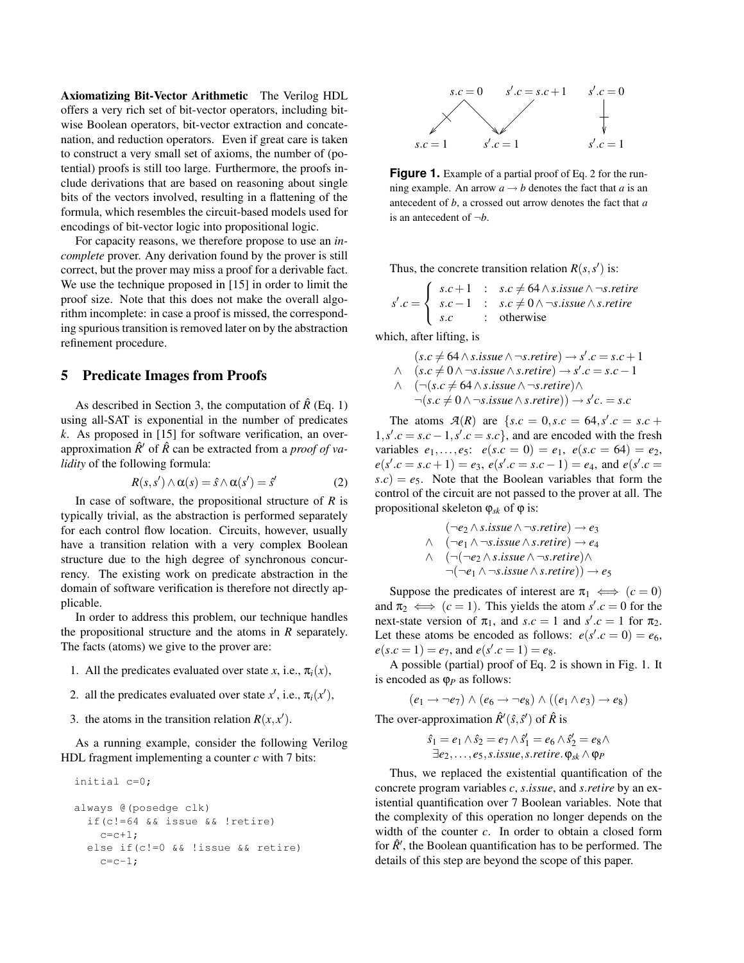Axiomatizing Bit-Vector Arithmetic The Verilog HDL offers a very rich set of bit-vector operators, including bitwise Boolean operators, bit-vector extraction and concatenation, and reduction operators. Even if great care is taken to construct a very small set of axioms, the number of (potential) proofs is still too large. Furthermore, the proofs include derivations that are based on reasoning about single bits of the vectors involved, resulting in a flattening of the formula, which resembles the circuit-based models used for encodings of bit-vector logic into propositional logic.

For capacity reasons, we therefore propose to use an *incomplete* prover. Any derivation found by the prover is still correct, but the prover may miss a proof for a derivable fact. We use the technique proposed in [15] in order to limit the proof size. Note that this does not make the overall algorithm incomplete: in case a proof is missed, the corresponding spurious transition is removed later on by the abstraction refinement procedure.

#### 5 Predicate Images from Proofs

As described in Section 3, the computation of  $\hat{R}$  (Eq. 1) using all-SAT is exponential in the number of predicates *k*. As proposed in [15] for software verification, an overapproximation  $\hat{R}'$  of  $\hat{R}$  can be extracted from a *proof of validity* of the following formula:

$$
R(s, s') \wedge \alpha(s) = \hat{s} \wedge \alpha(s') = \hat{s}' \tag{2}
$$

In case of software, the propositional structure of *R* is typically trivial, as the abstraction is performed separately for each control flow location. Circuits, however, usually have a transition relation with a very complex Boolean structure due to the high degree of synchronous concurrency. The existing work on predicate abstraction in the domain of software verification is therefore not directly applicable.

In order to address this problem, our technique handles the propositional structure and the atoms in *R* separately. The facts (atoms) we give to the prover are:

- 1. All the predicates evaluated over state *x*, i.e.,  $\pi_i(x)$ ,
- 2. all the predicates evaluated over state  $x'$ , i.e.,  $\pi_i(x')$ ,
- 3. the atoms in the transition relation  $R(x, x')$ .

As a running example, consider the following Verilog HDL fragment implementing a counter *c* with 7 bits:

```
initial c=0;
always @(posedge clk)
  if(c!=64 && issue && !retire)
    c=c+1;else if(c!=0 && !issue && retire)
    c=c-1;
```


**Figure 1.** Example of a partial proof of Eq. 2 for the running example. An arrow  $a \rightarrow b$  denotes the fact that *a* is an antecedent of *b*, a crossed out arrow denotes the fact that *a* is an antecedent of ¬*b*.

Thus, the concrete transition relation  $R(s, s')$  is:

$$
s'.c = \left\{ \begin{array}{ll} s.c + 1 & : & s.c \neq 64 \land s.issue \land \neg s.retrie \\ s.c - 1 & : & s.c \neq 0 \land \neg s.issue \land s.retrie \\ s.c & : & \text{otherwise} \end{array} \right.
$$

which, after lifting, is

- $(s.c \neq 64 \land s.issue \land \neg s.retire) \rightarrow s'.c = s.c + 1$  $\land$  (*s*.*c*  $\neq$  0  $\land$  ¬*s*.*issue*  $\land$  *s.retire*) → *s'*.*c* = *s.c* − 1  $\wedge$  (¬(*s*.*c*  $\neq$  64  $\wedge$  *s*.*issue*  $\wedge$  ¬*s*.*retire*) $\wedge$ 
	- $\neg (s.c \neq 0 \land \neg s.issue \land s.retire)) \rightarrow s'c. = s.c$

The atoms  $\mathcal{A}(R)$  are  $\{s.c = 0, s.c = 64, s'.c = s.c +$  $1, s'.c = s.c - 1, s'.c = s.c$ , and are encoded with the fresh variables  $e_1, \ldots, e_5$ :  $e(s.c = 0) = e_1, e(s.c = 64) = e_2$ ,  $e(s'.c = s.c + 1) = e_3$ ,  $e(s'.c = s.c - 1) = e_4$ , and  $e(s'.c = 1)$  $s.c$ ) =  $e_5$ . Note that the Boolean variables that form the control of the circuit are not passed to the prover at all. The propositional skeleton  $\varphi_{sk}$  of  $\varphi$  is:

$$
(\neg e_2 \land s.issue \land \neg s.retire) \rightarrow e_3
$$
  
\n
$$
\land \quad (\neg e_1 \land \neg s.issue \land s.retire) \rightarrow e_4
$$
  
\n
$$
\land \quad (\neg(\neg e_2 \land s.issue \land \neg s.retire) \land \land \neg(\neg e_1 \land \neg s.issue \land s.retire)) \rightarrow e_5
$$

Suppose the predicates of interest are  $\pi_1 \iff (c = 0)$ and  $\pi_2 \iff (c = 1)$ . This yields the atom  $s'.c = 0$  for the next-state version of  $\pi_1$ , and  $s.c = 1$  and  $s'.c = 1$  for  $\pi_2$ . Let these atoms be encoded as follows:  $e(s'.c = 0) = e_6$ ,  $e(s.c = 1) = e_7$ , and  $e(s'.c = 1) = e_8$ .

A possible (partial) proof of Eq. 2 is shown in Fig. 1. It is encoded as ϕ*<sup>P</sup>* as follows:

$$
(e_1 \rightarrow \neg e_7) \land (e_6 \rightarrow \neg e_8) \land ((e_1 \land e_3) \rightarrow e_8)
$$

The over-approximation 
$$
\hat{R}'(\hat{s}, \hat{s}')
$$
 of  $\hat{R}$  is

$$
\hat{s}_1 = e_1 \wedge \hat{s}_2 = e_7 \wedge \hat{s}'_1 = e_6 \wedge \hat{s}'_2 = e_8 \wedge \n\exists e_2, \dots, e_5, s. issue, s. retrieve. \varphi_{sk} \wedge \varphi_P
$$

Thus, we replaced the existential quantification of the concrete program variables *c*, *s*.*issue*, and *s*.*retire* by an existential quantification over 7 Boolean variables. Note that the complexity of this operation no longer depends on the width of the counter *c*. In order to obtain a closed form for  $\hat{R}'$ , the Boolean quantification has to be performed. The details of this step are beyond the scope of this paper.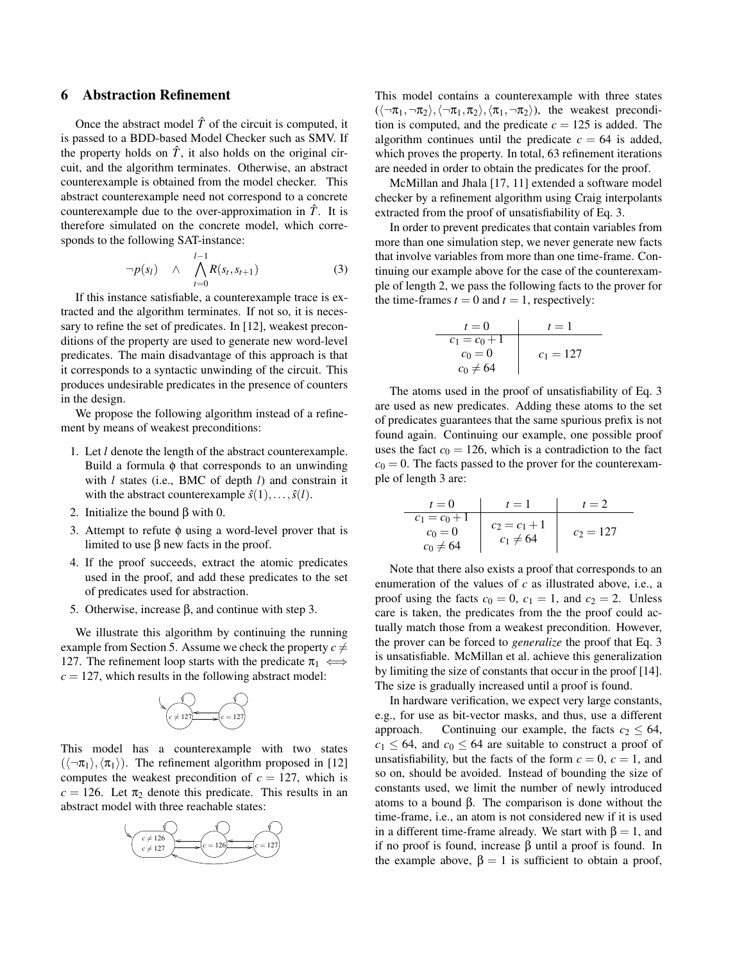### 6 Abstraction Refinement

Once the abstract model  $\hat{T}$  of the circuit is computed, it is passed to a BDD-based Model Checker such as SMV. If the property holds on  $\hat{T}$ , it also holds on the original circuit, and the algorithm terminates. Otherwise, an abstract counterexample is obtained from the model checker. This abstract counterexample need not correspond to a concrete counterexample due to the over-approximation in  $\hat{T}$ . It is therefore simulated on the concrete model, which corresponds to the following SAT-instance:

$$
\neg p(s_l) \quad \wedge \quad \bigwedge_{t=0}^{l-1} R(s_t, s_{t+1}) \tag{3}
$$

If this instance satisfiable, a counterexample trace is extracted and the algorithm terminates. If not so, it is necessary to refine the set of predicates. In [12], weakest preconditions of the property are used to generate new word-level predicates. The main disadvantage of this approach is that it corresponds to a syntactic unwinding of the circuit. This produces undesirable predicates in the presence of counters in the design.

We propose the following algorithm instead of a refinement by means of weakest preconditions:

- 1. Let *l* denote the length of the abstract counterexample. Build a formula  $φ$  that corresponds to an unwinding with *l* states (i.e., BMC of depth *l*) and constrain it with the abstract counterexample  $\hat{s}(1),...,\hat{s}(l)$ .
- 2. Initialize the bound β with 0.
- 3. Attempt to refute  $\phi$  using a word-level prover that is limited to use β new facts in the proof.
- 4. If the proof succeeds, extract the atomic predicates used in the proof, and add these predicates to the set of predicates used for abstraction.
- 5. Otherwise, increase β, and continue with step 3.

We illustrate this algorithm by continuing the running example from Section 5. Assume we check the property  $c \neq$ 127. The refinement loop starts with the predicate  $\pi_1 \iff$  $c = 127$ , which results in the following abstract model:



This model has a counterexample with two states  $(\langle \neg \pi_1 \rangle, \langle \pi_1 \rangle)$ . The refinement algorithm proposed in [12] computes the weakest precondition of  $c = 127$ , which is  $c = 126$ . Let  $\pi_2$  denote this predicate. This results in an abstract model with three reachable states:



This model contains a counterexample with three states  $(\langle \neg \pi_1, \neg \pi_2 \rangle, \langle \neg \pi_1, \pi_2 \rangle, \langle \pi_1, \neg \pi_2 \rangle)$ , the weakest precondition is computed, and the predicate  $c = 125$  is added. The algorithm continues until the predicate  $c = 64$  is added, which proves the property. In total, 63 refinement iterations are needed in order to obtain the predicates for the proof.

McMillan and Jhala [17, 11] extended a software model checker by a refinement algorithm using Craig interpolants extracted from the proof of unsatisfiability of Eq. 3.

In order to prevent predicates that contain variables from more than one simulation step, we never generate new facts that involve variables from more than one time-frame. Continuing our example above for the case of the counterexample of length 2, we pass the following facts to the prover for the time-frames  $t = 0$  and  $t = 1$ , respectively:

$$
\begin{array}{c|c}\n t = 0 & t = 1 \\
\hline\n c_1 = c_0 + 1 & \\
 c_0 = 0 & c_1 = 127 \\
 c_0 \neq 64 &\n\end{array}
$$

The atoms used in the proof of unsatisfiability of Eq. 3 are used as new predicates. Adding these atoms to the set of predicates guarantees that the same spurious prefix is not found again. Continuing our example, one possible proof uses the fact  $c_0 = 126$ , which is a contradiction to the fact  $c_0 = 0$ . The facts passed to the prover for the counterexample of length 3 are:

| $t = 0$         | $t = 1$         | $t = 2$     |
|-----------------|-----------------|-------------|
| $c_1 = c_0 + 1$ | $c_2 = c_1 + 1$ | $c_2 = 127$ |
| $c_0 \neq 64$   | $c_1 \neq 64$   | $c_2 = 127$ |

Note that there also exists a proof that corresponds to an enumeration of the values of *c* as illustrated above, i.e., a proof using the facts  $c_0 = 0$ ,  $c_1 = 1$ , and  $c_2 = 2$ . Unless care is taken, the predicates from the the proof could actually match those from a weakest precondition. However, the prover can be forced to *generalize* the proof that Eq. 3 is unsatisfiable. McMillan et al. achieve this generalization by limiting the size of constants that occur in the proof [14]. The size is gradually increased until a proof is found.

In hardware verification, we expect very large constants, e.g., for use as bit-vector masks, and thus, use a different approach. Continuing our example, the facts  $c_2 \leq 64$ ,  $c_1 \leq 64$ , and  $c_0 \leq 64$  are suitable to construct a proof of unsatisfiability, but the facts of the form  $c = 0$ ,  $c = 1$ , and so on, should be avoided. Instead of bounding the size of constants used, we limit the number of newly introduced atoms to a bound β. The comparison is done without the time-frame, i.e., an atom is not considered new if it is used in a different time-frame already. We start with  $\beta = 1$ , and if no proof is found, increase β until a proof is found. In the example above,  $\beta = 1$  is sufficient to obtain a proof,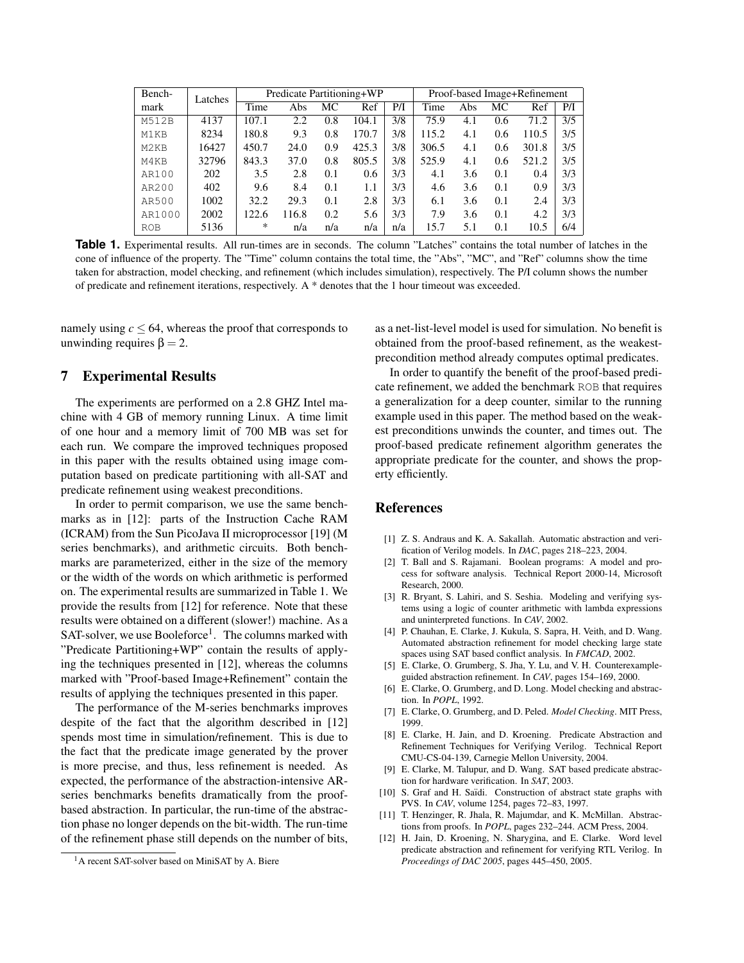| Bench-                        | Latches | Predicate Partitioning+WP |       |     |       |     | Proof-based Image+Refinement |     |     |       |     |
|-------------------------------|---------|---------------------------|-------|-----|-------|-----|------------------------------|-----|-----|-------|-----|
| mark                          |         | Time                      | Abs   | МC  | Ref   | P/I | Time                         | Abs | МC  | Ref   | P/I |
| M512B                         | 4137    | 107.1                     | 2.2   | 0.8 | 104.1 | 3/8 | 75.9                         | 4.1 | 0.6 | 71.2  | 3/5 |
| M1KB                          | 8234    | 180.8                     | 9.3   | 0.8 | 170.7 | 3/8 | 115.2                        | 4.1 | 0.6 | 110.5 | 3/5 |
| M <sub>2</sub> K <sub>B</sub> | 16427   | 450.7                     | 24.0  | 0.9 | 425.3 | 3/8 | 306.5                        | 4.1 | 0.6 | 301.8 | 3/5 |
| M4KB                          | 32796   | 843.3                     | 37.0  | 0.8 | 805.5 | 3/8 | 525.9                        | 4.1 | 0.6 | 521.2 | 3/5 |
| AR100                         | 202     | 3.5                       | 2.8   | 0.1 | 0.6   | 3/3 | 4.1                          | 3.6 | 0.1 | 0.4   | 3/3 |
| AR200                         | 402     | 9.6                       | 8.4   | 0.1 | 1.1   | 3/3 | 4.6                          | 3.6 | 0.1 | 0.9   | 3/3 |
| AR500                         | 1002    | 32.2                      | 29.3  | 0.1 | 2.8   | 3/3 | 6.1                          | 3.6 | 0.1 | 2.4   | 3/3 |
| AR1000                        | 2002    | 122.6                     | 116.8 | 0.2 | 5.6   | 3/3 | 7.9                          | 3.6 | 0.1 | 4.2   | 3/3 |
| <b>ROB</b>                    | 5136    | *                         | n/a   | n/a | n/a   | n/a | 15.7                         | 5.1 | 0.1 | 10.5  | 6/4 |

**Table 1.** Experimental results. All run-times are in seconds. The column "Latches" contains the total number of latches in the cone of influence of the property. The "Time" column contains the total time, the "Abs", "MC", and "Ref" columns show the time taken for abstraction, model checking, and refinement (which includes simulation), respectively. The P/I column shows the number of predicate and refinement iterations, respectively. A \* denotes that the 1 hour timeout was exceeded.

namely using  $c \leq 64$ , whereas the proof that corresponds to unwinding requires  $\beta = 2$ .

# 7 Experimental Results

The experiments are performed on a 2.8 GHZ Intel machine with 4 GB of memory running Linux. A time limit of one hour and a memory limit of 700 MB was set for each run. We compare the improved techniques proposed in this paper with the results obtained using image computation based on predicate partitioning with all-SAT and predicate refinement using weakest preconditions.

In order to permit comparison, we use the same benchmarks as in [12]: parts of the Instruction Cache RAM (ICRAM) from the Sun PicoJava II microprocessor [19] (M series benchmarks), and arithmetic circuits. Both benchmarks are parameterized, either in the size of the memory or the width of the words on which arithmetic is performed on. The experimental results are summarized in Table 1. We provide the results from [12] for reference. Note that these results were obtained on a different (slower!) machine. As a SAT-solver, we use Booleforce<sup>1</sup>. The columns marked with "Predicate Partitioning+WP" contain the results of applying the techniques presented in [12], whereas the columns marked with "Proof-based Image+Refinement" contain the results of applying the techniques presented in this paper.

The performance of the M-series benchmarks improves despite of the fact that the algorithm described in [12] spends most time in simulation/refinement. This is due to the fact that the predicate image generated by the prover is more precise, and thus, less refinement is needed. As expected, the performance of the abstraction-intensive ARseries benchmarks benefits dramatically from the proofbased abstraction. In particular, the run-time of the abstraction phase no longer depends on the bit-width. The run-time of the refinement phase still depends on the number of bits,

as a net-list-level model is used for simulation. No benefit is obtained from the proof-based refinement, as the weakestprecondition method already computes optimal predicates.

In order to quantify the benefit of the proof-based predicate refinement, we added the benchmark ROB that requires a generalization for a deep counter, similar to the running example used in this paper. The method based on the weakest preconditions unwinds the counter, and times out. The proof-based predicate refinement algorithm generates the appropriate predicate for the counter, and shows the property efficiently.

## References

- [1] Z. S. Andraus and K. A. Sakallah. Automatic abstraction and verification of Verilog models. In *DAC*, pages 218–223, 2004.
- [2] T. Ball and S. Rajamani. Boolean programs: A model and process for software analysis. Technical Report 2000-14, Microsoft Research, 2000.
- [3] R. Bryant, S. Lahiri, and S. Seshia. Modeling and verifying systems using a logic of counter arithmetic with lambda expressions and uninterpreted functions. In *CAV*, 2002.
- [4] P. Chauhan, E. Clarke, J. Kukula, S. Sapra, H. Veith, and D. Wang. Automated abstraction refinement for model checking large state spaces using SAT based conflict analysis. In *FMCAD*, 2002.
- [5] E. Clarke, O. Grumberg, S. Jha, Y. Lu, and V. H. Counterexampleguided abstraction refinement. In *CAV*, pages 154–169, 2000.
- [6] E. Clarke, O. Grumberg, and D. Long. Model checking and abstraction. In *POPL*, 1992.
- [7] E. Clarke, O. Grumberg, and D. Peled. *Model Checking*. MIT Press, 1999.
- [8] E. Clarke, H. Jain, and D. Kroening. Predicate Abstraction and Refinement Techniques for Verifying Verilog. Technical Report CMU-CS-04-139, Carnegie Mellon University, 2004.
- [9] E. Clarke, M. Talupur, and D. Wang. SAT based predicate abstraction for hardware verification. In *SAT*, 2003.
- [10] S. Graf and H. Saïdi. Construction of abstract state graphs with PVS. In *CAV*, volume 1254, pages 72–83, 1997.
- [11] T. Henzinger, R. Jhala, R. Majumdar, and K. McMillan. Abstractions from proofs. In *POPL*, pages 232–244. ACM Press, 2004.
- [12] H. Jain, D. Kroening, N. Sharygina, and E. Clarke. Word level predicate abstraction and refinement for verifying RTL Verilog. In *Proceedings of DAC 2005*, pages 445–450, 2005.

<sup>&</sup>lt;sup>1</sup>A recent SAT-solver based on MiniSAT by A. Biere